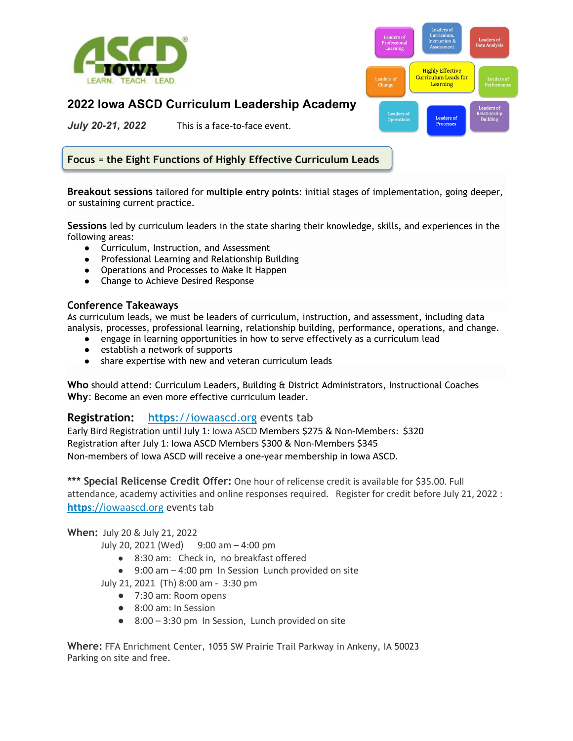



## **2022 Iowa ASCD Curriculum Leadership Academy**

*July 20-21, 2022* This is a face-to-face event.

**Focus** = **the Eight Functions of Highly Effective Curriculum Leads**

**Breakout sessions** tailored for **multiple entry points**: initial stages of implementation, going deeper, or sustaining current practice.

**Sessions** led by curriculum leaders in the state sharing their knowledge, skills, and experiences in the following areas:

- Curriculum, Instruction, and Assessment
- Professional Learning and Relationship Building
- Operations and Processes to Make It Happen
- Change to Achieve Desired Response

## **Conference Takeaways**

As curriculum leads, we must be leaders of curriculum, instruction, and assessment, including data analysis, processes, professional learning, relationship building, performance, operations, and change.

- engage in learning opportunities in how to serve effectively as a curriculum lead
- establish a network of supports
- share expertise with new and veteran curriculum leads

**Who** should attend: Curriculum Leaders, Building & District Administrators, Instructional Coaches **Why**: Become an even more effective curriculum leader.

## **Registration: [https](https://iowaascd.org/index.php/events/)**[://iowaascd.org](https://iowaascd.org/index.php/events/) events tab

Early Bird Registration until July 1: Iowa ASCD Members \$275 & Non-Members: \$320 Registration after July 1: Iowa ASCD Members \$300 & Non-Members \$345 Non-members of Iowa ASCD will receive a one-year membership in Iowa ASCD.

**\*\*\* Special Relicense Credit Offer:** One hour of relicense credit is available for \$35.00. Full attendance, academy activities and online responses required. Register for credit before July 21, 2022 : **[https](https://iowaascd.org/index.php/events/)**[://iowaascd.org](https://iowaascd.org/index.php/events/) events tab

## **When:** July 20 & July 21, 2022

July 20, 2021 (Wed) 9:00 am – 4:00 pm

- 8:30 am: Check in, no breakfast offered
- 9:00 am 4:00 pm In Session Lunch provided on site
- July 21, 2021 (Th) 8:00 am 3:30 pm
	- 7:30 am: Room opens
	- 8:00 am: In Session
	- 8:00 3:30 pm In Session, Lunch provided on site

**Where:** FFA Enrichment Center, 1055 SW Prairie Trail Parkway in Ankeny, IA 50023 Parking on site and free.